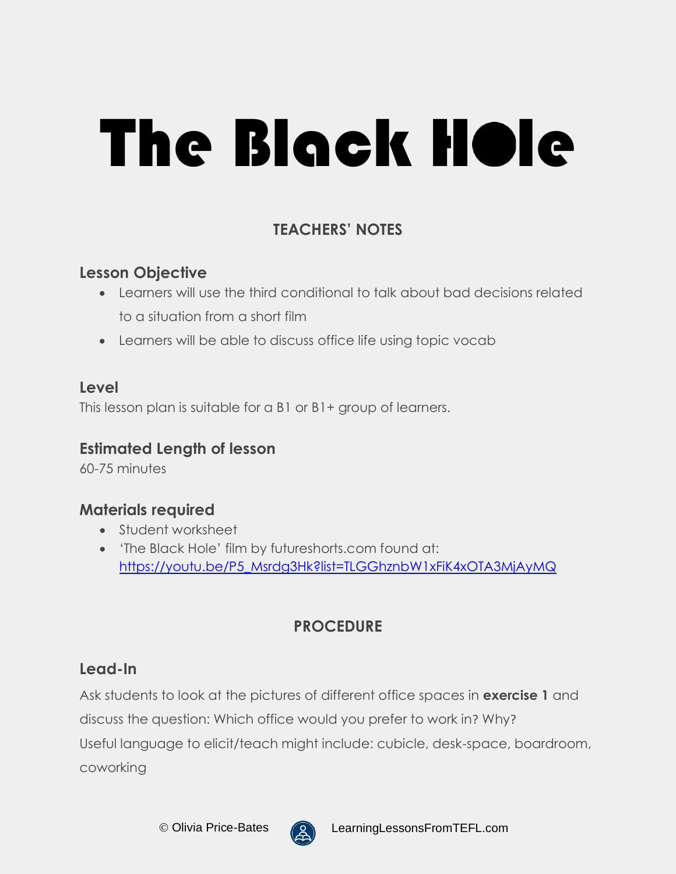# The Black Hole

# **TEACHERS' NOTES**

## **Lesson Objective**

- Learners will use the third conditional to talk about bad decisions related to a situation from a short film
- Learners will be able to discuss office life using topic vocab

## **Level**

This lesson plan is suitable for a B1 or B1+ group of learners.

## **Estimated Length of lesson**

60-75 minutes

## **Materials required**

- Student worksheet
- 'The Black Hole' film by futureshorts.com found at: [https://youtu.be/P5\\_Msrdg3Hk?list=TLGGhznbW1xFiK4xOTA3MjAyMQ](https://youtu.be/P5_Msrdg3Hk?list=TLGGhznbW1xFiK4xOTA3MjAyMQ)

# **PROCEDURE**

## **Lead-In**

Ask students to look at the pictures of different office spaces in **exercise 1** and discuss the question: Which office would you prefer to work in? Why? Useful language to elicit/teach might include: cubicle, desk-space, boardroom, coworking

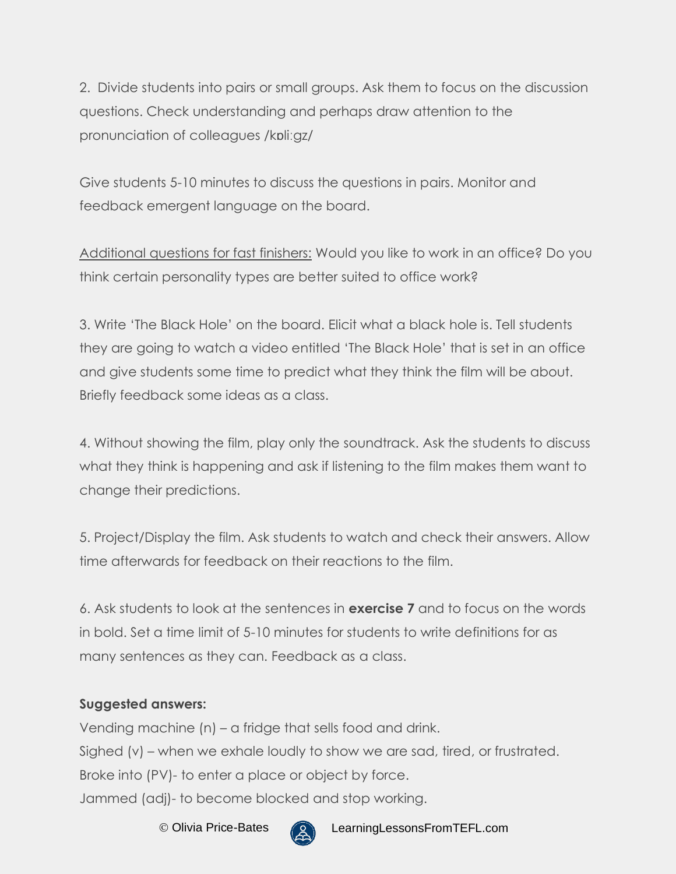2. Divide students into pairs or small groups. Ask them to focus on the discussion questions. Check understanding and perhaps draw attention to the pronunciation of colleagues /kɒliːgz/

Give students 5-10 minutes to discuss the questions in pairs. Monitor and feedback emergent language on the board.

Additional questions for fast finishers: Would you like to work in an office? Do you think certain personality types are better suited to office work?

3. Write 'The Black Hole' on the board. Elicit what a black hole is. Tell students they are going to watch a video entitled 'The Black Hole' that is set in an office and give students some time to predict what they think the film will be about. Briefly feedback some ideas as a class.

4. Without showing the film, play only the soundtrack. Ask the students to discuss what they think is happening and ask if listening to the film makes them want to change their predictions.

5. Project/Display the film. Ask students to watch and check their answers. Allow time afterwards for feedback on their reactions to the film.

6. Ask students to look at the sentences in **exercise 7** and to focus on the words in bold. Set a time limit of 5-10 minutes for students to write definitions for as many sentences as they can. Feedback as a class.

## **Suggested answers:**

Vending machine (n) – a fridge that sells food and drink. Sighed (v) – when we exhale loudly to show we are sad, tired, or frustrated. Broke into (PV)- to enter a place or object by force. Jammed (adj)- to become blocked and stop working.



© Olivia Price-Bates LearningLessonsFromTEFL.com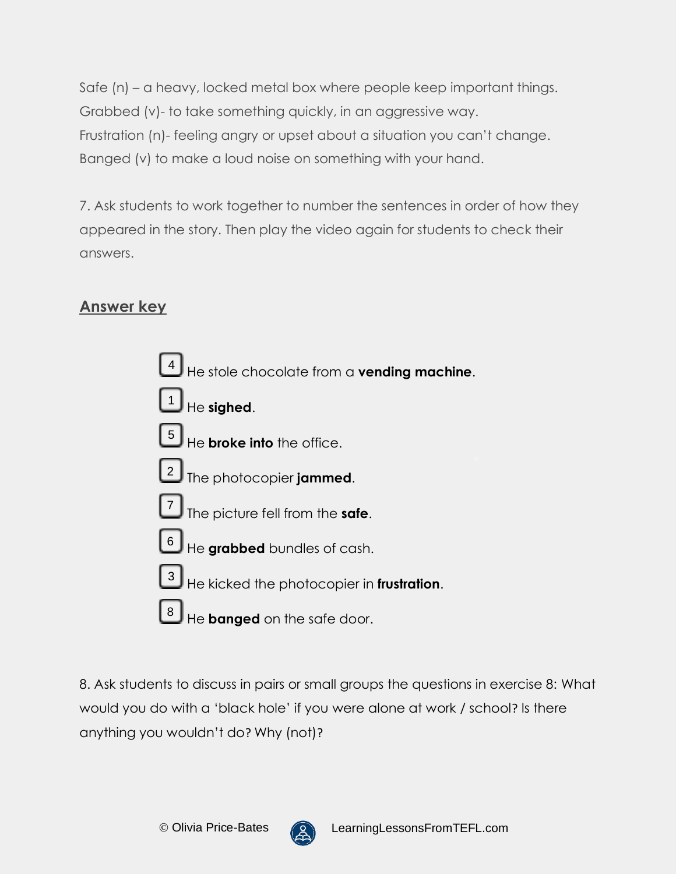Safe (n) – a heavy, locked metal box where people keep important things. Grabbed (v)- to take something quickly, in an aggressive way. Frustration (n)- feeling angry or upset about a situation you can't change. Banged (v) to make a loud noise on something with your hand.

7. Ask students to work together to number the sentences in order of how they appeared in the story. Then play the video again for students to check their answers.

# **Answer key**



8. Ask students to discuss in pairs or small groups the questions in exercise 8: What would you do with a 'black hole' if you were alone at work / school? Is there anything you wouldn't do? Why (not)?

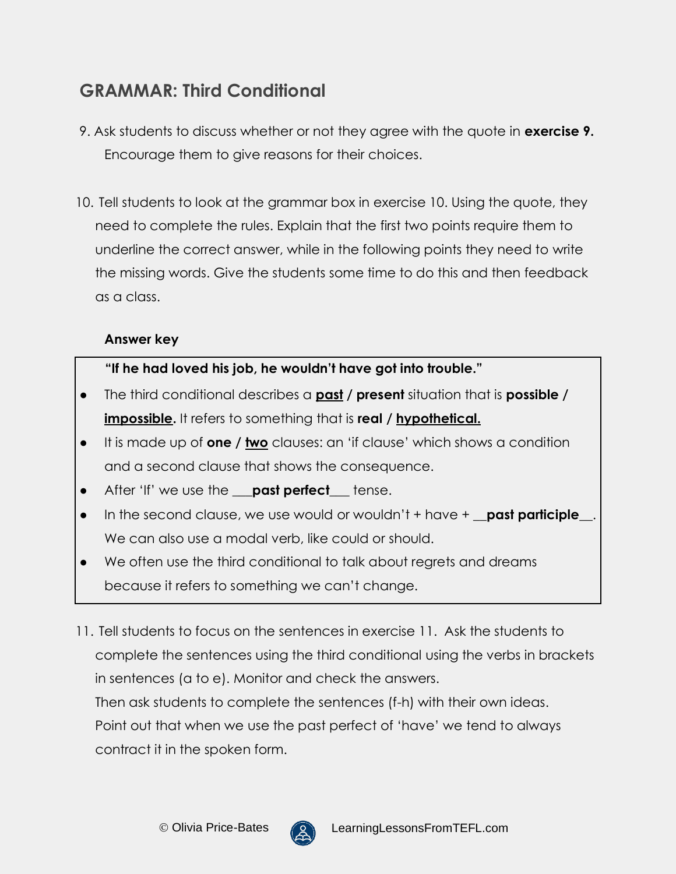# **GRAMMAR: Third Conditional**

- 9. Ask students to discuss whether or not they agree with the quote in **exercise 9.** Encourage them to give reasons for their choices.
- 10. Tell students to look at the grammar box in exercise 10. Using the quote, they need to complete the rules. Explain that the first two points require them to underline the correct answer, while in the following points they need to write the missing words. Give the students some time to do this and then feedback as a class.

## **Answer key**

 **"If he had loved his job, he wouldn't have got into trouble."**

- The third conditional describes a **past / present** situation that is **possible / impossible.** It refers to something that is **real / hypothetical.**
- It is made up of **one / two** clauses: an 'if clause' which shows a condition and a second clause that shows the consequence.
- After 'If' we use the **\_\_\_past perfect\_\_\_** tense.
- In the second clause, we use would or wouldn't + have + **\_past participle** We can also use a modal verb, like could or should.
- We often use the third conditional to talk about regrets and dreams because it refers to something we can't change.
- 11. Tell students to focus on the sentences in exercise 11. Ask the students to complete the sentences using the third conditional using the verbs in brackets in sentences (a to e). Monitor and check the answers. Then ask students to complete the sentences (f-h) with their own ideas. Point out that when we use the past perfect of 'have' we tend to always contract it in the spoken form.

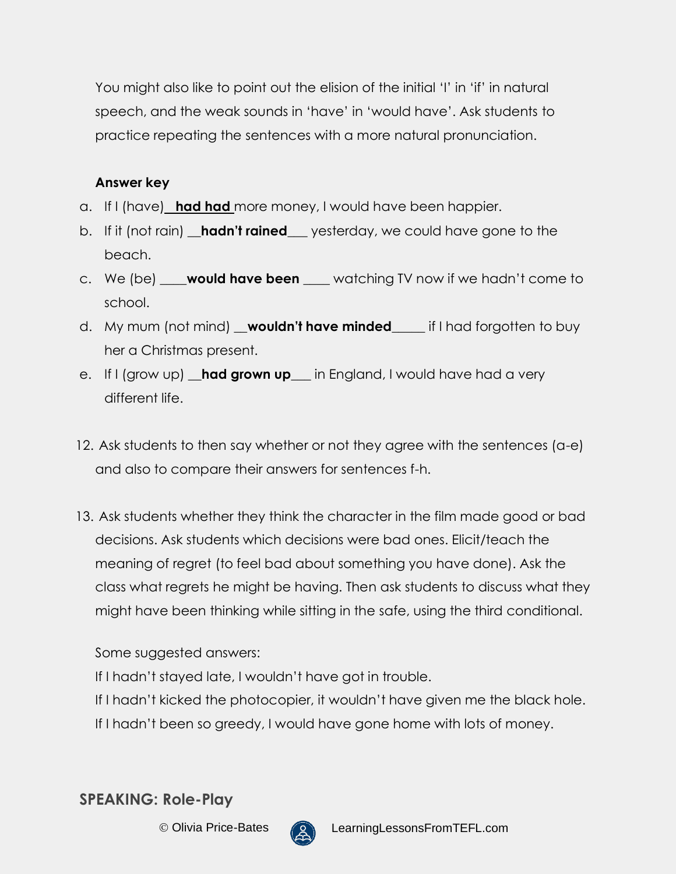You might also like to point out the elision of the initial 'I' in 'if' in natural speech, and the weak sounds in 'have' in 'would have'. Ask students to practice repeating the sentences with a more natural pronunciation.

### **Answer key**

- a. If I (have) **had had** more money, I would have been happier.
- b. If it (not rain) \_\_**hadn't rained**\_\_\_ yesterday, we could have gone to the beach.
- c. We (be) \_\_\_\_**would have been** \_\_\_\_ watching TV now if we hadn't come to school.
- d. My mum (not mind) \_\_**wouldn't have minded**\_\_\_\_\_ if I had forgotten to buy her a Christmas present.
- e. If I (grow up) \_\_**had grown up**\_\_\_ in England, I would have had a very different life.
- 12. Ask students to then say whether or not they agree with the sentences (a-e) and also to compare their answers for sentences f-h.
- 13. Ask students whether they think the character in the film made good or bad decisions. Ask students which decisions were bad ones. Elicit/teach the meaning of regret (to feel bad about something you have done). Ask the class what regrets he might be having. Then ask students to discuss what they might have been thinking while sitting in the safe, using the third conditional.

### Some suggested answers:

- If I hadn't stayed late, I wouldn't have got in trouble.
- If I hadn't kicked the photocopier, it wouldn't have given me the black hole.
- If I hadn't been so greedy, I would have gone home with lots of money.

### **SPEAKING: Role-Play**